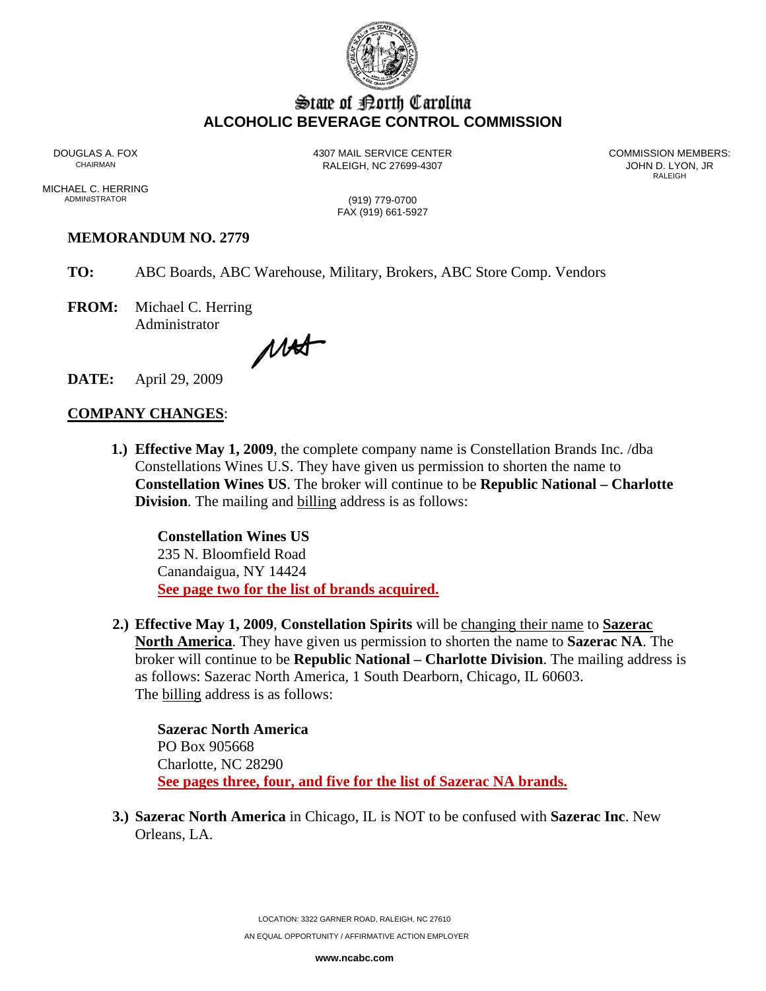

## State of Borth Carolina **ALCOHOLIC BEVERAGE CONTROL COMMISSION**

DOUGLAS A. FOX **4307 MAIL SERVICE CENTER** COMMISSION MEMBERS:<br>CHAIRMAN CHAIRMAN

RALEIGH, NC 27699-4307 **CHAIRMAN RALEIGH, NC 27699-4307** RALEIGH **RALEIGH** 

MICHAEL C. HERRING<br>ADMINISTRATOR

(919) 779-0700 FAX (919) 661-5927

## **MEMORANDUM NO. 2779**

- **TO:** ABC Boards, ABC Warehouse, Military, Brokers, ABC Store Comp. Vendors
- **FROM:** Michael C. Herring Administrator

MAT

**DATE:** April 29, 2009

## **COMPANY CHANGES**:

**1.) Effective May 1, 2009**, the complete company name is Constellation Brands Inc. /dba Constellations Wines U.S. They have given us permission to shorten the name to **Constellation Wines US**. The broker will continue to be **Republic National – Charlotte Division**. The mailing and **billing** address is as follows:

 **Constellation Wines US** 235 N. Bloomfield Road Canandaigua, NY 14424 **See page two for the list of brands acquired.**

**2.) Effective May 1, 2009**, **Constellation Spirits** will be changing their name to **Sazerac North America**. They have given us permission to shorten the name to **Sazerac NA**. The broker will continue to be **Republic National – Charlotte Division**. The mailing address is as follows: Sazerac North America, 1 South Dearborn, Chicago, IL 60603. The billing address is as follows:

**Sazerac North America**  PO Box 905668 Charlotte, NC 28290 **See pages three, four, and five for the list of Sazerac NA brands.**

**3.) Sazerac North America** in Chicago, IL is NOT to be confused with **Sazerac Inc**. New Orleans, LA.

LOCATION: 3322 GARNER ROAD, RALEIGH, NC 27610

AN EQUAL OPPORTUNITY / AFFIRMATIVE ACTION EMPLOYER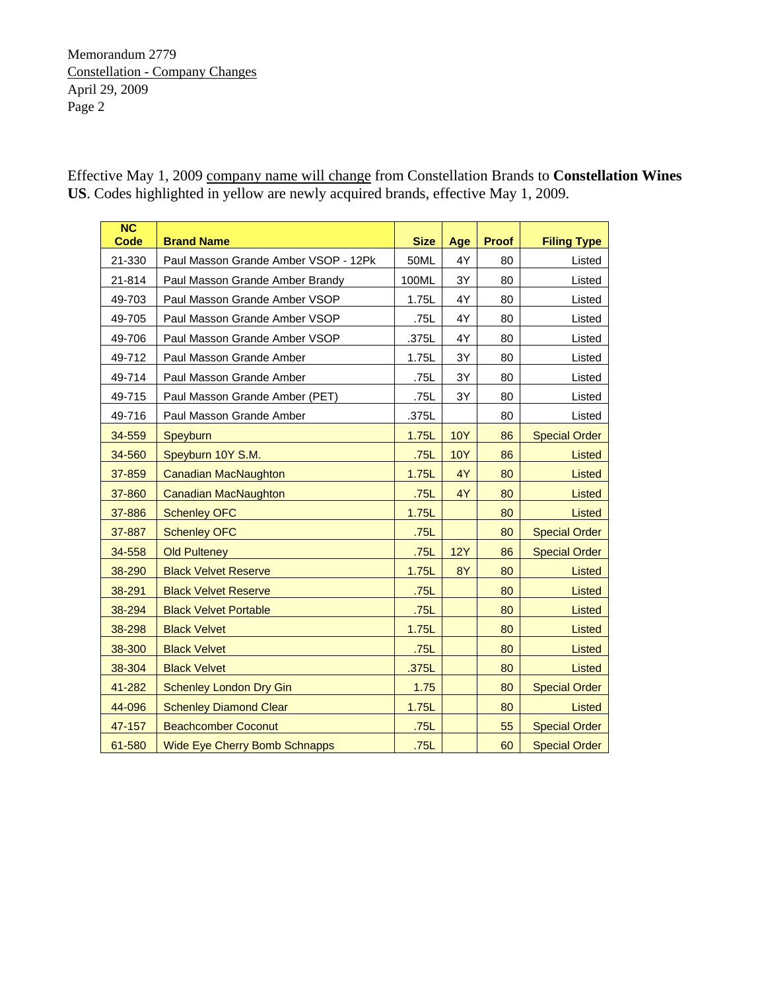Effective May 1, 2009 company name will change from Constellation Brands to **Constellation Wines US**. Codes highlighted in yellow are newly acquired brands, effective May 1, 2009.

| $\overline{\text{NC}}$<br>Code | <b>Brand Name</b>                    | <b>Size</b> | Age        | <b>Proof</b> | <b>Filing Type</b>   |
|--------------------------------|--------------------------------------|-------------|------------|--------------|----------------------|
| 21-330                         | Paul Masson Grande Amber VSOP - 12Pk | 50ML        | 4Y         | 80           | Listed               |
| 21-814                         | Paul Masson Grande Amber Brandy      | 100ML       | 3Y         | 80           | Listed               |
| 49-703                         | Paul Masson Grande Amber VSOP        | 1.75L       | 4Y         | 80           | Listed               |
| 49-705                         | Paul Masson Grande Amber VSOP        | .75L        | 4Y         | 80           | Listed               |
| 49-706                         | Paul Masson Grande Amber VSOP        | .375L       | 4Y         | 80           | Listed               |
| 49-712                         | Paul Masson Grande Amber             | 1.75L       | 3Y         | 80           | Listed               |
| 49-714                         | Paul Masson Grande Amber             | .75L        | 3Y         | 80           | Listed               |
| 49-715                         | Paul Masson Grande Amber (PET)       | .75L        | 3Y         | 80           | Listed               |
| 49-716                         | Paul Masson Grande Amber             | .375L       |            | 80           | Listed               |
| 34-559                         | Speyburn                             | 1.75L       | <b>10Y</b> | 86           | <b>Special Order</b> |
| 34-560                         | Speyburn 10Y S.M.                    | .75L        | <b>10Y</b> | 86           | Listed               |
| 37-859                         | <b>Canadian MacNaughton</b>          | 1.75L       | 4Y         | 80           | <b>Listed</b>        |
| 37-860                         | <b>Canadian MacNaughton</b>          | .75L        | 4Y         | 80           | <b>Listed</b>        |
| 37-886                         | <b>Schenley OFC</b>                  | 1.75L       |            | 80           | <b>Listed</b>        |
| 37-887                         | <b>Schenley OFC</b>                  | .75L        |            | 80           | <b>Special Order</b> |
| 34-558                         | <b>Old Pulteney</b>                  | .75L        | <b>12Y</b> | 86           | <b>Special Order</b> |
| 38-290                         | <b>Black Velvet Reserve</b>          | 1.75L       | <b>8Y</b>  | 80           | Listed               |
| 38-291                         | <b>Black Velvet Reserve</b>          | .75L        |            | 80           | Listed               |
| 38-294                         | <b>Black Velvet Portable</b>         | .75L        |            | 80           | <b>Listed</b>        |
| 38-298                         | <b>Black Velvet</b>                  | 1.75L       |            | 80           | <b>Listed</b>        |
| 38-300                         | <b>Black Velvet</b>                  | .75L        |            | 80           | <b>Listed</b>        |
| 38-304                         | <b>Black Velvet</b>                  | .375L       |            | 80           | <b>Listed</b>        |
| 41-282                         | <b>Schenley London Dry Gin</b>       | 1.75        |            | 80           | <b>Special Order</b> |
| 44-096                         | <b>Schenley Diamond Clear</b>        | 1.75L       |            | 80           | Listed               |
| 47-157                         | <b>Beachcomber Coconut</b>           | .75L        |            | 55           | <b>Special Order</b> |
| 61-580                         | <b>Wide Eye Cherry Bomb Schnapps</b> | .75L        |            | 60           | <b>Special Order</b> |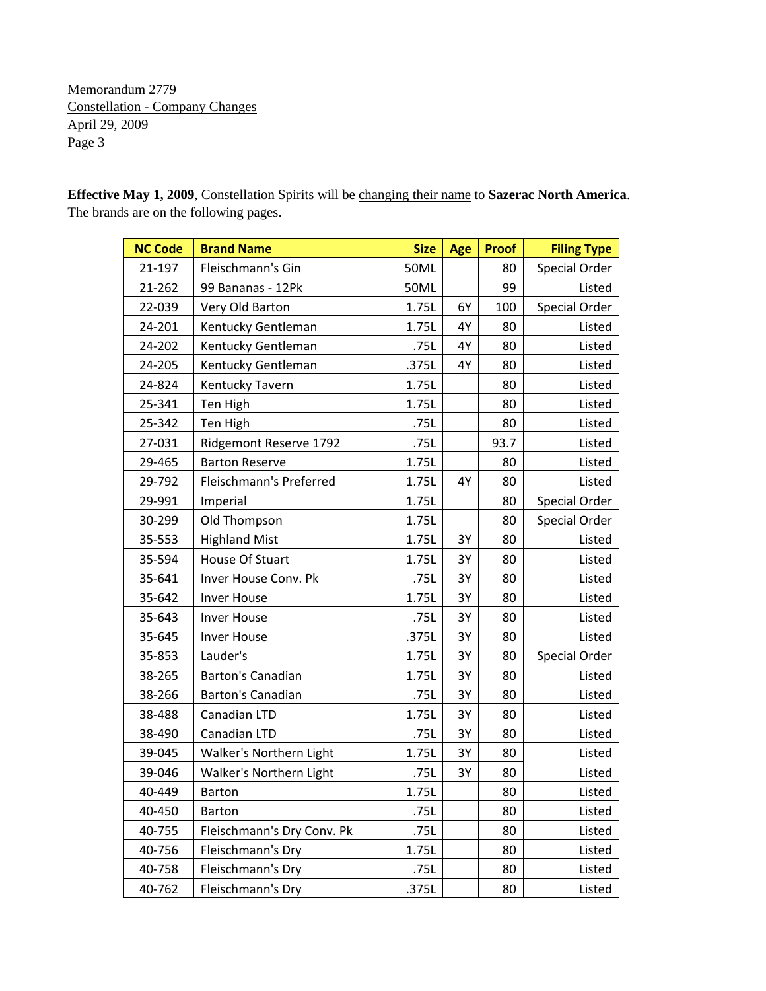**Effective May 1, 2009**, Constellation Spirits will be changing their name to **Sazerac North America**. The brands are on the following pages.

| <b>NC Code</b> | <b>Brand Name</b>          | <b>Size</b> | Age | <b>Proof</b> | <b>Filing Type</b> |
|----------------|----------------------------|-------------|-----|--------------|--------------------|
| 21-197         | Fleischmann's Gin          | <b>50ML</b> |     | 80           | Special Order      |
| 21-262         | 99 Bananas - 12Pk          | <b>50ML</b> |     | 99           | Listed             |
| 22-039         | Very Old Barton            | 1.75L       | 6Y  | 100          | Special Order      |
| 24-201         | Kentucky Gentleman         | 1.75L       | 4Y  | 80           | Listed             |
| 24-202         | Kentucky Gentleman         | .75L        | 4Y  | 80           | Listed             |
| 24-205         | Kentucky Gentleman         | .375L       | 4Y  | 80           | Listed             |
| 24-824         | Kentucky Tavern            | 1.75L       |     | 80           | Listed             |
| 25-341         | Ten High                   | 1.75L       |     | 80           | Listed             |
| 25-342         | Ten High                   | .75L        |     | 80           | Listed             |
| 27-031         | Ridgemont Reserve 1792     | .75L        |     | 93.7         | Listed             |
| 29-465         | <b>Barton Reserve</b>      | 1.75L       |     | 80           | Listed             |
| 29-792         | Fleischmann's Preferred    | 1.75L       | 4Y  | 80           | Listed             |
| 29-991         | Imperial                   | 1.75L       |     | 80           | Special Order      |
| 30-299         | Old Thompson               | 1.75L       |     | 80           | Special Order      |
| 35-553         | <b>Highland Mist</b>       | 1.75L       | 3Y  | 80           | Listed             |
| 35-594         | House Of Stuart            | 1.75L       | 3Y  | 80           | Listed             |
| 35-641         | Inver House Conv. Pk       | .75L        | 3Y  | 80           | Listed             |
| 35-642         | Inver House                | 1.75L       | 3Y  | 80           | Listed             |
| 35-643         | <b>Inver House</b>         | .75L        | 3Y  | 80           | Listed             |
| 35-645         | <b>Inver House</b>         | .375L       | 3Y  | 80           | Listed             |
| 35-853         | Lauder's                   | 1.75L       | 3Y  | 80           | Special Order      |
| 38-265         | Barton's Canadian          | 1.75L       | 3Y  | 80           | Listed             |
| 38-266         | <b>Barton's Canadian</b>   | .75L        | 3Y  | 80           | Listed             |
| 38-488         | Canadian LTD               | 1.75L       | 3Y  | 80           | Listed             |
| 38-490         | Canadian LTD               | .75L        | 3Y  | 80           | Listed             |
| 39-045         | Walker's Northern Light    | 1.75L       | 3Y  | 80           | Listed             |
| 39-046         | Walker's Northern Light    | .75L        | 3Y  | 80           | Listed             |
| 40-449         | <b>Barton</b>              | 1.75L       |     | 80           | Listed             |
| 40-450         | Barton                     | .75L        |     | 80           | Listed             |
| 40-755         | Fleischmann's Dry Conv. Pk | .75L        |     | 80           | Listed             |
| 40-756         | Fleischmann's Dry          | 1.75L       |     | 80           | Listed             |
| 40-758         | Fleischmann's Dry          | .75L        |     | 80           | Listed             |
| 40-762         | Fleischmann's Dry          | .375L       |     | 80           | Listed             |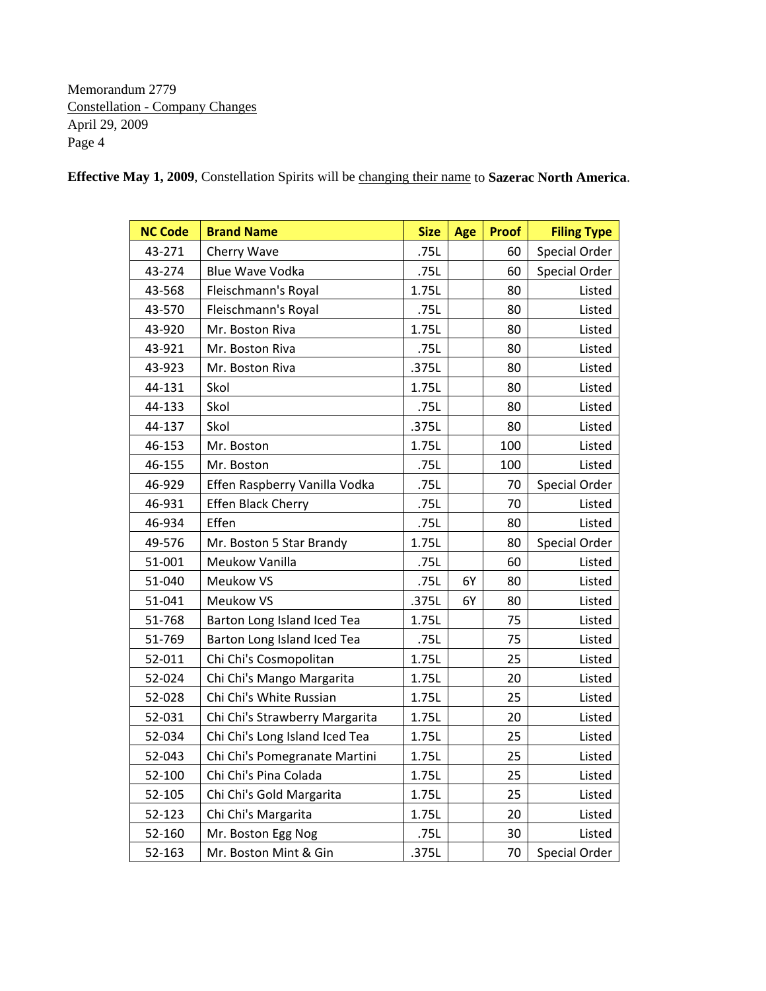| <b>NC Code</b> | <b>Brand Name</b>              | <b>Size</b> | <b>Age</b> | <b>Proof</b> | <b>Filing Type</b> |
|----------------|--------------------------------|-------------|------------|--------------|--------------------|
| 43-271         | Cherry Wave                    | .75L        |            | 60           | Special Order      |
| 43-274         | <b>Blue Wave Vodka</b>         | .75L        |            | 60           | Special Order      |
| 43-568         | Fleischmann's Royal            | 1.75L       |            | 80           | Listed             |
| 43-570         | Fleischmann's Royal            | .75L        |            | 80           | Listed             |
| 43-920         | Mr. Boston Riva                | 1.75L       |            | 80           | Listed             |
| 43-921         | Mr. Boston Riva                | .75L        |            | 80           | Listed             |
| 43-923         | Mr. Boston Riva                | .375L       |            | 80           | Listed             |
| 44-131         | Skol                           | 1.75L       |            | 80           | Listed             |
| 44-133         | Skol                           | .75L        |            | 80           | Listed             |
| 44-137         | Skol                           | .375L       |            | 80           | Listed             |
| 46-153         | Mr. Boston                     | 1.75L       |            | 100          | Listed             |
| 46-155         | Mr. Boston                     | .75L        |            | 100          | Listed             |
| 46-929         | Effen Raspberry Vanilla Vodka  | .75L        |            | 70           | Special Order      |
| 46-931         | <b>Effen Black Cherry</b>      | .75L        |            | 70           | Listed             |
| 46-934         | Effen                          | .75L        |            | 80           | Listed             |
| 49-576         | Mr. Boston 5 Star Brandy       | 1.75L       |            | 80           | Special Order      |
| 51-001         | Meukow Vanilla                 | .75L        |            | 60           | Listed             |
| 51-040         | Meukow VS                      | .75L        | 6Ү         | 80           | Listed             |
| 51-041         | Meukow VS                      | .375L       | 6Y         | 80           | Listed             |
| 51-768         | Barton Long Island Iced Tea    | 1.75L       |            | 75           | Listed             |
| 51-769         | Barton Long Island Iced Tea    | .75L        |            | 75           | Listed             |
| 52-011         | Chi Chi's Cosmopolitan         | 1.75L       |            | 25           | Listed             |
| 52-024         | Chi Chi's Mango Margarita      | 1.75L       |            | 20           | Listed             |
| 52-028         | Chi Chi's White Russian        | 1.75L       |            | 25           | Listed             |
| 52-031         | Chi Chi's Strawberry Margarita | 1.75L       |            | 20           | Listed             |
| 52-034         | Chi Chi's Long Island Iced Tea | 1.75L       |            | 25           | Listed             |
| 52-043         | Chi Chi's Pomegranate Martini  | 1.75L       |            | 25           | Listed             |
| 52-100         | Chi Chi's Pina Colada          | 1.75L       |            | 25           | Listed             |
| 52-105         | Chi Chi's Gold Margarita       | 1.75L       |            | 25           | Listed             |
| 52-123         | Chi Chi's Margarita            | 1.75L       |            | 20           | Listed             |
| 52-160         | Mr. Boston Egg Nog             | .75L        |            | 30           | Listed             |
| 52-163         | Mr. Boston Mint & Gin          | .375L       |            | 70           | Special Order      |

**Effective May 1, 2009**, Constellation Spirits will be changing their name to **Sazerac North America**.